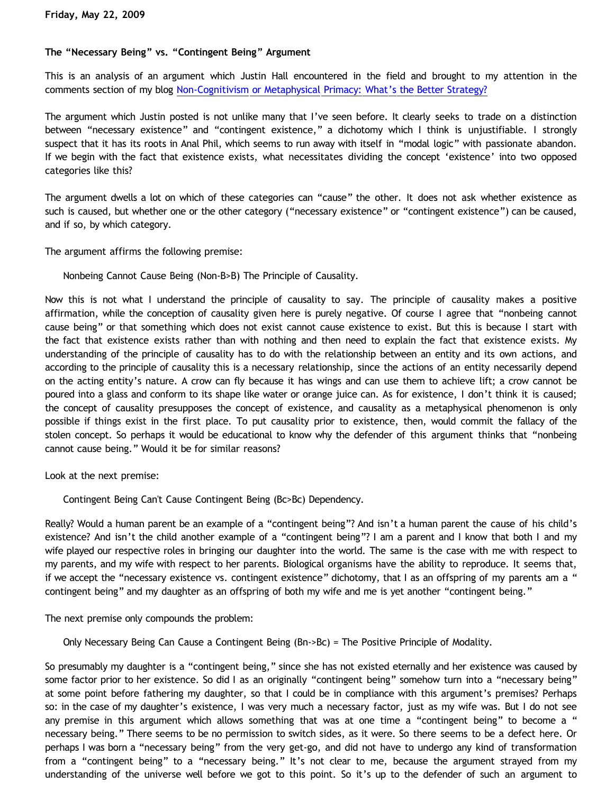## **The "Necessary Being" vs. "Contingent Being" Argument**

This is an analysis of an argument which Justin Hall encountered in the field and brought to my attention in the comments section of my blog [Non-Cognitivism or Metaphysical Primacy: What's the Better Strategy?](http://bahnsenburner.blogspot.com/2009/05/non-cognitivism-or-metaphysical-primacy.html)

The argument which Justin posted is not unlike many that I've seen before. It clearly seeks to trade on a distinction between "necessary existence" and "contingent existence," a dichotomy which I think is unjustifiable. I strongly suspect that it has its roots in Anal Phil, which seems to run away with itself in "modal logic" with passionate abandon. If we begin with the fact that existence exists, what necessitates dividing the concept 'existence' into two opposed categories like this?

The argument dwells a lot on which of these categories can "cause" the other. It does not ask whether existence as such is caused, but whether one or the other category ("necessary existence" or "contingent existence") can be caused, and if so, by which category.

The argument affirms the following premise:

Nonbeing Cannot Cause Being (Non-B>B) The Principle of Causality.

Now this is not what I understand the principle of causality to say. The principle of causality makes a positive affirmation, while the conception of causality given here is purely negative. Of course I agree that "nonbeing cannot cause being" or that something which does not exist cannot cause existence to exist. But this is because I start with the fact that existence exists rather than with nothing and then need to explain the fact that existence exists. My understanding of the principle of causality has to do with the relationship between an entity and its own actions, and according to the principle of causality this is a necessary relationship, since the actions of an entity necessarily depend on the acting entity's nature. A crow can fly because it has wings and can use them to achieve lift; a crow cannot be poured into a glass and conform to its shape like water or orange juice can. As for existence, I don't think it is caused; the concept of causality presupposes the concept of existence, and causality as a metaphysical phenomenon is only possible if things exist in the first place. To put causality prior to existence, then, would commit the fallacy of the stolen concept. So perhaps it would be educational to know why the defender of this argument thinks that "nonbeing cannot cause being." Would it be for similar reasons?

Look at the next premise:

Contingent Being Can't Cause Contingent Being (Bc>Bc) Dependency.

Really? Would a human parent be an example of a "contingent being"? And isn't a human parent the cause of his child's existence? And isn't the child another example of a "contingent being"? I am a parent and I know that both I and my wife played our respective roles in bringing our daughter into the world. The same is the case with me with respect to my parents, and my wife with respect to her parents. Biological organisms have the ability to reproduce. It seems that, if we accept the "necessary existence vs. contingent existence" dichotomy, that I as an offspring of my parents am a " contingent being" and my daughter as an offspring of both my wife and me is yet another "contingent being."

The next premise only compounds the problem:

Only Necessary Being Can Cause a Contingent Being (Bn->Bc) = The Positive Principle of Modality.

So presumably my daughter is a "contingent being," since she has not existed eternally and her existence was caused by some factor prior to her existence. So did I as an originally "contingent being" somehow turn into a "necessary being" at some point before fathering my daughter, so that I could be in compliance with this argument's premises? Perhaps so: in the case of my daughter's existence, I was very much a necessary factor, just as my wife was. But I do not see any premise in this argument which allows something that was at one time a "contingent being" to become a " necessary being." There seems to be no permission to switch sides, as it were. So there seems to be a defect here. Or perhaps I was born a "necessary being" from the very get-go, and did not have to undergo any kind of transformation from a "contingent being" to a "necessary being." It's not clear to me, because the argument strayed from my understanding of the universe well before we got to this point. So it's up to the defender of such an argument to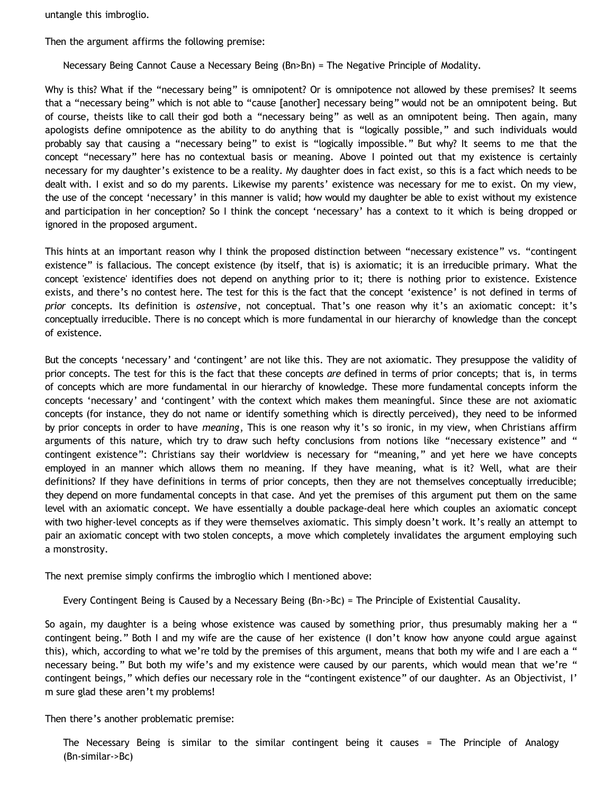untangle this imbroglio.

Then the argument affirms the following premise:

Necessary Being Cannot Cause a Necessary Being (Bn>Bn) = The Negative Principle of Modality.

Why is this? What if the "necessary being" is omnipotent? Or is omnipotence not allowed by these premises? It seems that a "necessary being" which is not able to "cause [another] necessary being" would not be an omnipotent being. But of course, theists like to call their god both a "necessary being" as well as an omnipotent being. Then again, many apologists define omnipotence as the ability to do anything that is "logically possible," and such individuals would probably say that causing a "necessary being" to exist is "logically impossible." But why? It seems to me that the concept "necessary" here has no contextual basis or meaning. Above I pointed out that my existence is certainly necessary for my daughter's existence to be a reality. My daughter does in fact exist, so this is a fact which needs to be dealt with. I exist and so do my parents. Likewise my parents' existence was necessary for me to exist. On my view, the use of the concept 'necessary' in this manner is valid; how would my daughter be able to exist without my existence and participation in her conception? So I think the concept 'necessary' has a context to it which is being dropped or ignored in the proposed argument.

This hints at an important reason why I think the proposed distinction between "necessary existence" vs. "contingent existence" is fallacious. The concept existence (by itself, that is) is axiomatic; it is an irreducible primary. What the concept 'existence' identifies does not depend on anything prior to it; there is nothing prior to existence. Existence exists, and there's no contest here. The test for this is the fact that the concept 'existence' is not defined in terms of *prior* concepts. Its definition is *ostensive*, not conceptual. That's one reason why it's an axiomatic concept: it's conceptually irreducible. There is no concept which is more fundamental in our hierarchy of knowledge than the concept of existence.

But the concepts 'necessary' and 'contingent' are not like this. They are not axiomatic. They presuppose the validity of prior concepts. The test for this is the fact that these concepts *are* defined in terms of prior concepts; that is, in terms of concepts which are more fundamental in our hierarchy of knowledge. These more fundamental concepts inform the concepts 'necessary' and 'contingent' with the context which makes them meaningful. Since these are not axiomatic concepts (for instance, they do not name or identify something which is directly perceived), they need to be informed by prior concepts in order to have *meaning*, This is one reason why it's so ironic, in my view, when Christians affirm arguments of this nature, which try to draw such hefty conclusions from notions like "necessary existence" and " contingent existence": Christians say their worldview is necessary for "meaning," and yet here we have concepts employed in an manner which allows them no meaning. If they have meaning, what is it? Well, what are their definitions? If they have definitions in terms of prior concepts, then they are not themselves conceptually irreducible; they depend on more fundamental concepts in that case. And yet the premises of this argument put them on the same level with an axiomatic concept. We have essentially a double package-deal here which couples an axiomatic concept with two higher-level concepts as if they were themselves axiomatic. This simply doesn't work. It's really an attempt to pair an axiomatic concept with two stolen concepts, a move which completely invalidates the argument employing such a monstrosity.

The next premise simply confirms the imbroglio which I mentioned above:

Every Contingent Being is Caused by a Necessary Being (Bn->Bc) = The Principle of Existential Causality.

So again, my daughter is a being whose existence was caused by something prior, thus presumably making her a " contingent being." Both I and my wife are the cause of her existence (I don't know how anyone could argue against this), which, according to what we're told by the premises of this argument, means that both my wife and I are each a " necessary being." But both my wife's and my existence were caused by our parents, which would mean that we're " contingent beings," which defies our necessary role in the "contingent existence" of our daughter. As an Objectivist, I' m sure glad these aren't my problems!

Then there's another problematic premise:

The Necessary Being is similar to the similar contingent being it causes = The Principle of Analogy (Bn-similar->Bc)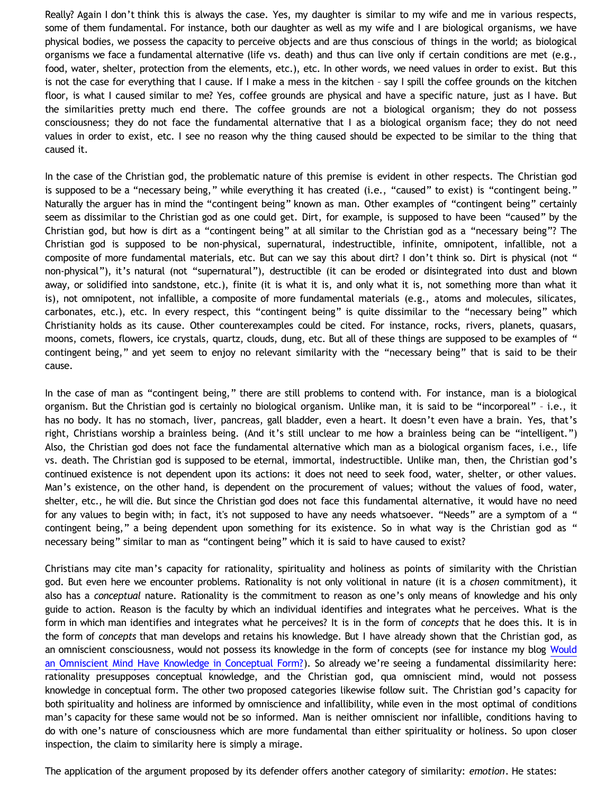Really? Again I don't think this is always the case. Yes, my daughter is similar to my wife and me in various respects, some of them fundamental. For instance, both our daughter as well as my wife and I are biological organisms, we have physical bodies, we possess the capacity to perceive objects and are thus conscious of things in the world; as biological organisms we face a fundamental alternative (life vs. death) and thus can live only if certain conditions are met (e.g., food, water, shelter, protection from the elements, etc.), etc. In other words, we need values in order to exist. But this is not the case for everything that I cause. If I make a mess in the kitchen – say I spill the coffee grounds on the kitchen floor, is what I caused similar to me? Yes, coffee grounds are physical and have a specific nature, just as I have. But the similarities pretty much end there. The coffee grounds are not a biological organism; they do not possess consciousness; they do not face the fundamental alternative that I as a biological organism face; they do not need values in order to exist, etc. I see no reason why the thing caused should be expected to be similar to the thing that caused it.

In the case of the Christian god, the problematic nature of this premise is evident in other respects. The Christian god is supposed to be a "necessary being," while everything it has created (i.e., "caused" to exist) is "contingent being." Naturally the arguer has in mind the "contingent being" known as man. Other examples of "contingent being" certainly seem as dissimilar to the Christian god as one could get. Dirt, for example, is supposed to have been "caused" by the Christian god, but how is dirt as a "contingent being" at all similar to the Christian god as a "necessary being"? The Christian god is supposed to be non-physical, supernatural, indestructible, infinite, omnipotent, infallible, not a composite of more fundamental materials, etc. But can we say this about dirt? I don't think so. Dirt is physical (not " non-physical"), it's natural (not "supernatural"), destructible (it can be eroded or disintegrated into dust and blown away, or solidified into sandstone, etc.), finite (it is what it is, and only what it is, not something more than what it is), not omnipotent, not infallible, a composite of more fundamental materials (e.g., atoms and molecules, silicates, carbonates, etc.), etc. In every respect, this "contingent being" is quite dissimilar to the "necessary being" which Christianity holds as its cause. Other counterexamples could be cited. For instance, rocks, rivers, planets, quasars, moons, comets, flowers, ice crystals, quartz, clouds, dung, etc. But all of these things are supposed to be examples of " contingent being," and yet seem to enjoy no relevant similarity with the "necessary being" that is said to be their cause.

In the case of man as "contingent being," there are still problems to contend with. For instance, man is a biological organism. But the Christian god is certainly no biological organism. Unlike man, it is said to be "incorporeal" – i.e., it has no body. It has no stomach, liver, pancreas, gall bladder, even a heart. It doesn't even have a brain. Yes, that's right, Christians worship a brainless being. (And it's still unclear to me how a brainless being can be "intelligent.") Also, the Christian god does not face the fundamental alternative which man as a biological organism faces, i.e., life vs. death. The Christian god is supposed to be eternal, immortal, indestructible. Unlike man, then, the Christian god's continued existence is not dependent upon its actions: it does not need to seek food, water, shelter, or other values. Man's existence, on the other hand, is dependent on the procurement of values; without the values of food, water, shelter, etc., he will die. But since the Christian god does not face this fundamental alternative, it would have no need for any values to begin with; in fact, it's not supposed to have any needs whatsoever. "Needs" are a symptom of a " contingent being," a being dependent upon something for its existence. So in what way is the Christian god as " necessary being" similar to man as "contingent being" which it is said to have caused to exist?

Christians may cite man's capacity for rationality, spirituality and holiness as points of similarity with the Christian god. But even here we encounter problems. Rationality is not only volitional in nature (it is a *chosen* commitment), it also has a *conceptual* nature. Rationality is the commitment to reason as one's only means of knowledge and his only guide to action. Reason is the faculty by which an individual identifies and integrates what he perceives. What is the form in which man identifies and integrates what he perceives? It is in the form of *concepts* that he does this. It is in the form of *concepts* that man develops and retains his knowledge. But I have already shown that the Christian god, as an omniscient consciousness, would not possess its knowledge in the form of concepts (see for instance my blog [Would](http://bahnsenburner.blogspot.com/2007/04/would-omniscient-mind-have-knowledge-in.html) [an Omniscient Mind Have Knowledge in Conceptual Form?](http://bahnsenburner.blogspot.com/2007/04/would-omniscient-mind-have-knowledge-in.html)). So already we're seeing a fundamental dissimilarity here: rationality presupposes conceptual knowledge, and the Christian god, qua omniscient mind, would not possess knowledge in conceptual form. The other two proposed categories likewise follow suit. The Christian god's capacity for both spirituality and holiness are informed by omniscience and infallibility, while even in the most optimal of conditions man's capacity for these same would not be so informed. Man is neither omniscient nor infallible, conditions having to do with one's nature of consciousness which are more fundamental than either spirituality or holiness. So upon closer inspection, the claim to similarity here is simply a mirage.

The application of the argument proposed by its defender offers another category of similarity: *emotion*. He states: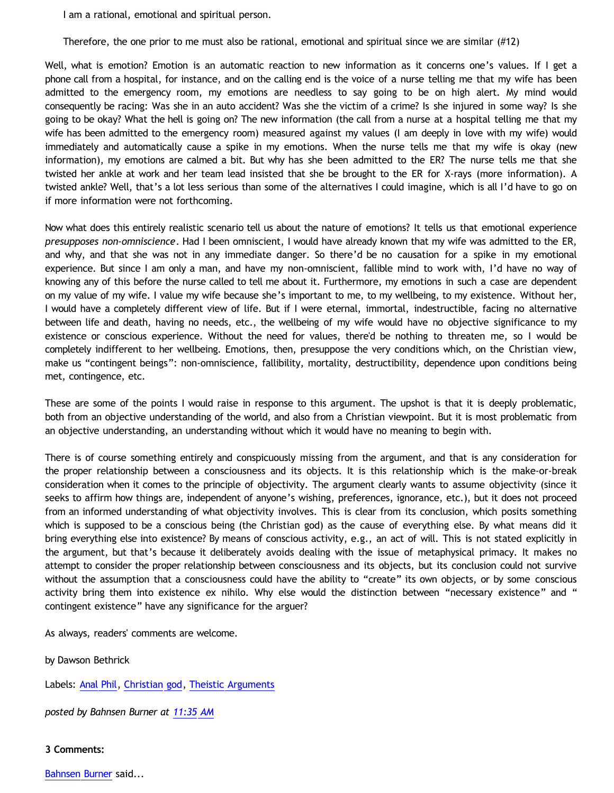I am a rational, emotional and spiritual person.

Therefore, the one prior to me must also be rational, emotional and spiritual since we are similar (#12)

Well, what is emotion? Emotion is an automatic reaction to new information as it concerns one's values. If I get a phone call from a hospital, for instance, and on the calling end is the voice of a nurse telling me that my wife has been admitted to the emergency room, my emotions are needless to say going to be on high alert. My mind would consequently be racing: Was she in an auto accident? Was she the victim of a crime? Is she injured in some way? Is she going to be okay? What the hell is going on? The new information (the call from a nurse at a hospital telling me that my wife has been admitted to the emergency room) measured against my values (I am deeply in love with my wife) would immediately and automatically cause a spike in my emotions. When the nurse tells me that my wife is okay (new information), my emotions are calmed a bit. But why has she been admitted to the ER? The nurse tells me that she twisted her ankle at work and her team lead insisted that she be brought to the ER for X-rays (more information). A twisted ankle? Well, that's a lot less serious than some of the alternatives I could imagine, which is all I'd have to go on if more information were not forthcoming.

Now what does this entirely realistic scenario tell us about the nature of emotions? It tells us that emotional experience *presupposes non-omniscience*. Had I been omniscient, I would have already known that my wife was admitted to the ER, and why, and that she was not in any immediate danger. So there'd be no causation for a spike in my emotional experience. But since I am only a man, and have my non-omniscient, fallible mind to work with, I'd have no way of knowing any of this before the nurse called to tell me about it. Furthermore, my emotions in such a case are dependent on my value of my wife. I value my wife because she's important to me, to my wellbeing, to my existence. Without her, I would have a completely different view of life. But if I were eternal, immortal, indestructible, facing no alternative between life and death, having no needs, etc., the wellbeing of my wife would have no objective significance to my existence or conscious experience. Without the need for values, there'd be nothing to threaten me, so I would be completely indifferent to her wellbeing. Emotions, then, presuppose the very conditions which, on the Christian view, make us "contingent beings": non-omniscience, fallibility, mortality, destructibility, dependence upon conditions being met, contingence, etc.

These are some of the points I would raise in response to this argument. The upshot is that it is deeply problematic, both from an objective understanding of the world, and also from a Christian viewpoint. But it is most problematic from an objective understanding, an understanding without which it would have no meaning to begin with.

There is of course something entirely and conspicuously missing from the argument, and that is any consideration for the proper relationship between a consciousness and its objects. It is this relationship which is the make-or-break consideration when it comes to the principle of objectivity. The argument clearly wants to assume objectivity (since it seeks to affirm how things are, independent of anyone's wishing, preferences, ignorance, etc.), but it does not proceed from an informed understanding of what objectivity involves. This is clear from its conclusion, which posits something which is supposed to be a conscious being (the Christian god) as the cause of everything else. By what means did it bring everything else into existence? By means of conscious activity, e.g., an act of will. This is not stated explicitly in the argument, but that's because it deliberately avoids dealing with the issue of metaphysical primacy. It makes no attempt to consider the proper relationship between consciousness and its objects, but its conclusion could not survive without the assumption that a consciousness could have the ability to "create" its own objects, or by some conscious activity bring them into existence ex nihilo. Why else would the distinction between "necessary existence" and " contingent existence" have any significance for the arguer?

As always, readers' comments are welcome.

by Dawson Bethrick

Labels: [Anal Phil](http://bahnsenburner.blogspot.com/search/label/Anal%20Phil), [Christian god](http://bahnsenburner.blogspot.com/search/label/Christian%20god), [Theistic Arguments](http://bahnsenburner.blogspot.com/search/label/Theistic%20Arguments)

*posted by Bahnsen Burner at [11:35 AM](http://bahnsenburner.blogspot.com/2009/05/necessary-being-vs-contingent-being.html)*

**3 Comments:**

[Bahnsen Burner](http://www.blogger.com/profile/11030029491768748360) said...